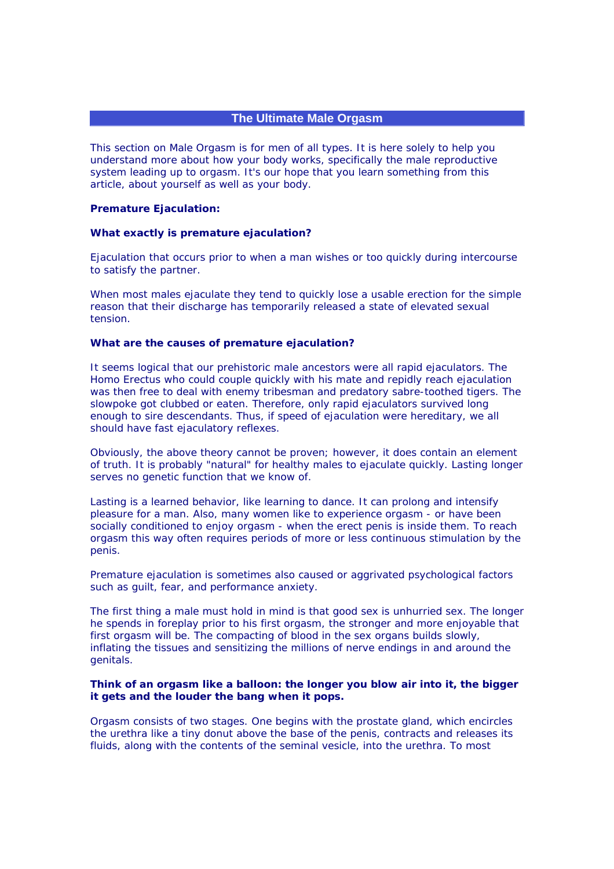# **The Ultimate Male Orgasm**

This section on Male Orgasm is for men of all types. It is here solely to help you understand more about how your body works, specifically the male reproductive system leading up to orgasm. It's our hope that you learn something from this article, about yourself as well as your body.

#### **Premature Ejaculation:**

## **What exactly is premature ejaculation?**

Ejaculation that occurs prior to when a man wishes or too quickly during intercourse to satisfy the partner.

When most males ejaculate they tend to quickly lose a usable erection for the simple reason that their discharge has temporarily released a state of elevated sexual tension.

### **What are the causes of premature ejaculation?**

It seems logical that our prehistoric male ancestors were all rapid ejaculators. The Homo Erectus who could couple quickly with his mate and repidly reach ejaculation was then free to deal with enemy tribesman and predatory sabre-toothed tigers. The slowpoke got clubbed or eaten. Therefore, only rapid ejaculators survived long enough to sire descendants. Thus, if speed of ejaculation were hereditary, we all should have fast ejaculatory reflexes.

Obviously, the above theory cannot be proven; however, it does contain an element of truth. It is probably "natural" for healthy males to ejaculate quickly. Lasting longer serves no genetic function that we know of.

Lasting is a learned behavior, like learning to dance. It can prolong and intensify pleasure for a man. Also, many women like to experience orgasm - or have been socially conditioned to enjoy orgasm - when the erect penis is inside them. To reach orgasm this way often requires periods of more or less continuous stimulation by the penis.

Premature ejaculation is sometimes also caused or aggrivated psychological factors such as guilt, fear, and performance anxiety.

The first thing a male must hold in mind is that good sex is unhurried sex. The longer he spends in foreplay prior to his first orgasm, the stronger and more enjoyable that first orgasm will be. The compacting of blood in the sex organs builds slowly, inflating the tissues and sensitizing the millions of nerve endings in and around the genitals.

## **Think of an orgasm like a balloon: the longer you blow air into it, the bigger it gets and the louder the bang when it pops.**

Orgasm consists of two stages. One begins with the prostate gland, which encircles the urethra like a tiny donut above the base of the penis, contracts and releases its fluids, along with the contents of the seminal vesicle, into the urethra. To most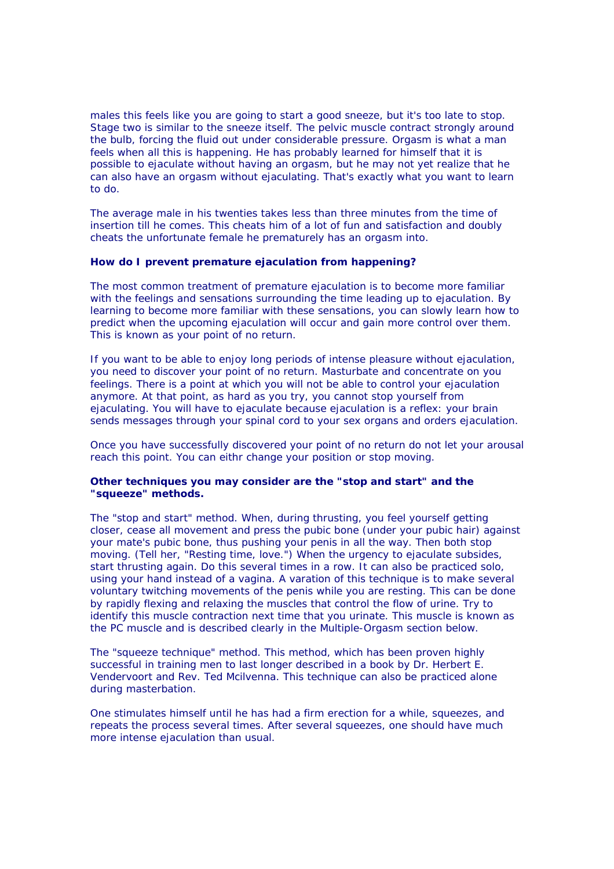males this feels like you are going to start a good sneeze, but it's too late to stop. Stage two is similar to the sneeze itself. The pelvic muscle contract strongly around the bulb, forcing the fluid out under considerable pressure. Orgasm is what a man feels when all this is happening. He has probably learned for himself that it is possible to ejaculate without having an orgasm, but he may not yet realize that he can also have an orgasm without ejaculating. That's exactly what you want to learn to do.

The average male in his twenties takes less than three minutes from the time of insertion till he comes. This cheats him of a lot of fun and satisfaction and doubly cheats the unfortunate female he prematurely has an orgasm into.

### **How do I prevent premature ejaculation from happening?**

The most common treatment of premature ejaculation is to become more familiar with the feelings and sensations surrounding the time leading up to ejaculation. By learning to become more familiar with these sensations, you can slowly learn how to predict when the upcoming ejaculation will occur and gain more control over them. This is known as your point of no return.

If you want to be able to enjoy long periods of intense pleasure without ejaculation, you need to discover your point of no return. Masturbate and concentrate on you feelings. There is a point at which you will not be able to control your ejaculation anymore. At that point, as hard as you try, you cannot stop yourself from ejaculating. You will have to ejaculate because ejaculation is a reflex: your brain sends messages through your spinal cord to your sex organs and orders ejaculation.

Once you have successfully discovered your point of no return do not let your arousal reach this point. You can eithr change your position or stop moving.

## **Other techniques you may consider are the "stop and start" and the "squeeze" methods.**

The "stop and start" method. When, during thrusting, you feel yourself getting closer, cease all movement and press the pubic bone (under your pubic hair) against your mate's pubic bone, thus pushing your penis in all the way. Then both stop moving. (Tell her, "Resting time, love.") When the urgency to ejaculate subsides, start thrusting again. Do this several times in a row. It can also be practiced solo, using your hand instead of a vagina. A varation of this technique is to make several voluntary twitching movements of the penis while you are resting. This can be done by rapidly flexing and relaxing the muscles that control the flow of urine. Try to identify this muscle contraction next time that you urinate. This muscle is known as the PC muscle and is described clearly in the Multiple-Orgasm section below.

The "squeeze technique" method. This method, which has been proven highly successful in training men to last longer described in a book by Dr. Herbert E. Vendervoort and Rev. Ted Mcilvenna. This technique can also be practiced alone during masterbation.

One stimulates himself until he has had a firm erection for a while, squeezes, and repeats the process several times. After several squeezes, one should have much more intense ejaculation than usual.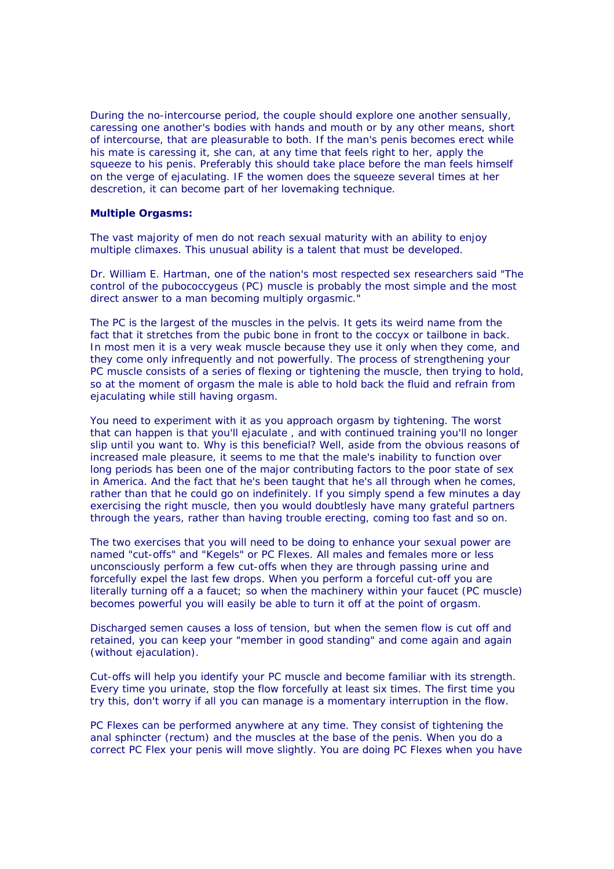During the no-intercourse period, the couple should explore one another sensually, caressing one another's bodies with hands and mouth or by any other means, short of intercourse, that are pleasurable to both. If the man's penis becomes erect while his mate is caressing it, she can, at any time that feels right to her, apply the squeeze to his penis. Preferably this should take place before the man feels himself on the verge of ejaculating. IF the women does the squeeze several times at her descretion, it can become part of her lovemaking technique.

### **Multiple Orgasms:**

The vast majority of men do not reach sexual maturity with an ability to enjoy multiple climaxes. This unusual ability is a talent that must be developed.

Dr. William E. Hartman, one of the nation's most respected sex researchers said "The control of the pubococcygeus (PC) muscle is probably the most simple and the most direct answer to a man becoming multiply orgasmic."

The PC is the largest of the muscles in the pelvis. It gets its weird name from the fact that it stretches from the pubic bone in front to the coccyx or tailbone in back. In most men it is a very weak muscle because they use it only when they come, and they come only infrequently and not powerfully. The process of strengthening your PC muscle consists of a series of flexing or tightening the muscle, then trying to hold, so at the moment of orgasm the male is able to hold back the fluid and refrain from ejaculating while still having orgasm.

You need to experiment with it as you approach orgasm by tightening. The worst that can happen is that you'll ejaculate , and with continued training you'll no longer slip until you want to. Why is this beneficial? Well, aside from the obvious reasons of increased male pleasure, it seems to me that the male's inability to function over long periods has been one of the major contributing factors to the poor state of sex in America. And the fact that he's been taught that he's all through when he comes, rather than that he could go on indefinitely. If you simply spend a few minutes a day exercising the right muscle, then you would doubtlesly have many grateful partners through the years, rather than having trouble erecting, coming too fast and so on.

The two exercises that you will need to be doing to enhance your sexual power are named "cut-offs" and "Kegels" or PC Flexes. All males and females more or less unconsciously perform a few cut-offs when they are through passing urine and forcefully expel the last few drops. When you perform a forceful cut-off you are literally turning off a a faucet; so when the machinery within your faucet (PC muscle) becomes powerful you will easily be able to turn it off at the point of orgasm.

Discharged semen causes a loss of tension, but when the semen flow is cut off and retained, you can keep your "member in good standing" and come again and again (without ejaculation).

Cut-offs will help you identify your PC muscle and become familiar with its strength. Every time you urinate, stop the flow forcefully at least six times. The first time you try this, don't worry if all you can manage is a momentary interruption in the flow.

PC Flexes can be performed anywhere at any time. They consist of tightening the anal sphincter (rectum) and the muscles at the base of the penis. When you do a correct PC Flex your penis will move slightly. You are doing PC Flexes when you have